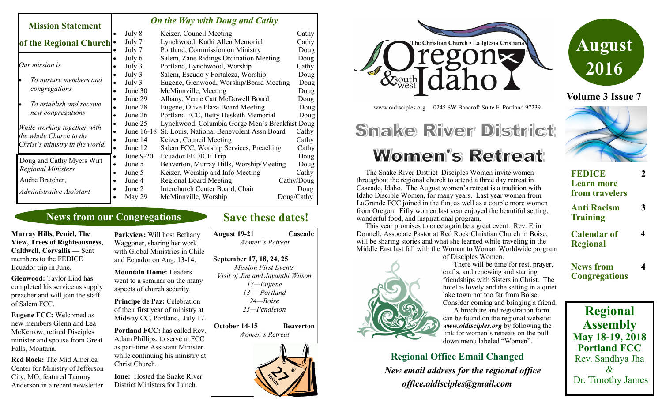#### *On the Way with Doug and Cathy*

| мымол макешени                                                                           |           |            |                                                |            |
|------------------------------------------------------------------------------------------|-----------|------------|------------------------------------------------|------------|
|                                                                                          |           | July 8     | Keizer, Council Meeting                        | Cathy      |
| of the Regional Church .                                                                 |           | July 7     | Lynchwood, Kathi Allen Memorial                | Cathy      |
|                                                                                          |           | July 7     | Portland, Commission on Ministry               | Doug       |
| Our mission is                                                                           |           | July 6     | Salem, Zane Ridings Ordination Meeting         | Doug       |
|                                                                                          |           | July 3     | Portland, Lynchwood, Worship                   | Cathy      |
| To nurture members and<br>congregations                                                  |           | July 3     | Salem, Escudo y Fortaleza, Worship             | Doug       |
|                                                                                          |           | July 3     | Eugene, Glenwood, Worship/Board Meeting        | Doug       |
|                                                                                          |           | June 30    | McMinnville, Meeting                           | Doug       |
| To establish and receive<br>new congregations                                            |           | June 29    | Albany, Verne Catt McDowell Board              | Doug       |
|                                                                                          |           | June 28    | Eugene, Olive Plaza Board Meeting              | Doug       |
|                                                                                          |           | June 26    | Portland FCC, Betty Hesketh Memorial           | Doug       |
| While working together with<br>the whole Church to do<br>Christ's ministry in the world. |           | June 25    | Lynchwood, Columbia Gorge Men's Breakfast Doug |            |
|                                                                                          |           | June 16-18 | St. Louis, National Benevolent Assn Board      | Cathy      |
|                                                                                          |           | June 14    | Keizer, Council Meeting                        | Cathy      |
|                                                                                          |           | June 12    | Salem FCC, Worship Services, Preaching         | Cathy      |
| Doug and Cathy Myers Wirt                                                                | $\bullet$ | June 9-20  | Ecuador FEDICE Trip                            | Doug       |
|                                                                                          | $\bullet$ | June 5     | Beaverton, Murray Hills, Worship/Meeting       | Doug       |
| <b>Regional Ministers</b>                                                                | $\bullet$ | June 5     | Keizer, Worship and Info Meeting               | Cathy      |
| Audre Bratcher,                                                                          |           | June 4     | <b>Regional Board Meeting</b>                  | Cathy/Doug |
| Administrative Assistant                                                                 |           | June 2     | Interchurch Center Board, Chair                | Doug       |
|                                                                                          |           | May 29     | McMinnville, Worship                           | Doug/Cathy |

#### **News from our Congregations**

**Murray Hills, Peniel, The View, Trees of Righteousness, Caldwell, Corvallis —** Sent members to the FEDICE Ecuador trip in June.

**Mission Statement** 

**Glenwood:** Taylor Lind has completed his service as supply preacher and will join the staff of Salem FCC.

**Eugene FCC:** Welcomed as new members Glenn and Lea McKerrow, retired Disciples minister and spouse from Great Falls, Montana.

**Red Rock:** The Mid America Center for Ministry of Jefferson City, MO, featured Tammy Anderson in a recent newsletter

**Parkview:** Will host Bethany Waggoner, sharing her work with Global Ministries in Chile and Ecuador on Aug. 13-14.

**Mountain Home:** Leaders went to a seminar on the many aspects of church security.

**Principe de Paz:** Celebration of their first year of ministry at Midway CC, Portland, July 17.

**Portland FCC:** has called Rev. Adam Phillips, to serve at FCC as part-time Assistant Minister while continuing his ministry at Christ Church.

**Ione:** Hosted the Snake River District Ministers for Lunch.

## **Save these dates!**

**August 19-21 Cascade** *Women's Retreat* **September 17, 18, 24, 25** *Mission First Events Visit of Jim and Jayanthi Wilson 17—Eugene 18 — Portland 24—Boise 25—Pendleton*

**October 14-15 Beaverton**  *Women's Retreat*





www.oidisciples.org 0245 SW Bancroft Suite F, Portland 97239

**Snake River District** 

# **Women's Retreat**

 The Snake River District Disciples Women invite women throughout the regional church to attend a three day retreat in Cascade, Idaho. The August women's retreat is a tradition with Idaho Disciple Women, for many years. Last year women from LaGrande FCC joined in the fun, as well as a couple more women from Oregon. Fifty women last year enjoyed the beautiful setting, wonderful food, and inspirational program.

 This year promises to once again be a great event. Rev. Erin Donnell, Associate Pastor at Red Rock Christian Church in Boise, will be sharing stories and what she learned while traveling in the Middle East last fall with the Woman to Woman Worldwide program

of Disciples Women.

 There will be time for rest, prayer, crafts, and renewing and starting friendships with Sisters in Christ. The hotel is lovely and the setting in a quiet lake town not too far from Boise.

Consider coming and bringing a friend. A brochure and registration form can be found on the regional website: *www.oidisciples.org* by following the link for women's retreats on the pull down menu labeled "Women".

**Regional Office Email Changed**  *New email address for the regional office office.oidisciples@gmail.com*





**Volume 3 Issue 7**

| <b>FEDICE</b><br><b>Learn more</b><br>from travelers |   |
|------------------------------------------------------|---|
| <b>Anti Racism</b><br><b>Training</b>                |   |
| <b>Calendar of</b><br><b>Regional</b>                | Δ |
| <b>News from</b><br><b>Congregations</b>             |   |
| <b>Regional</b>                                      |   |

**Assembly May 18-19, 2018 Portland FCC** Rev. Sandhya Jha  $\mathcal{X}$ Dr. Timothy James